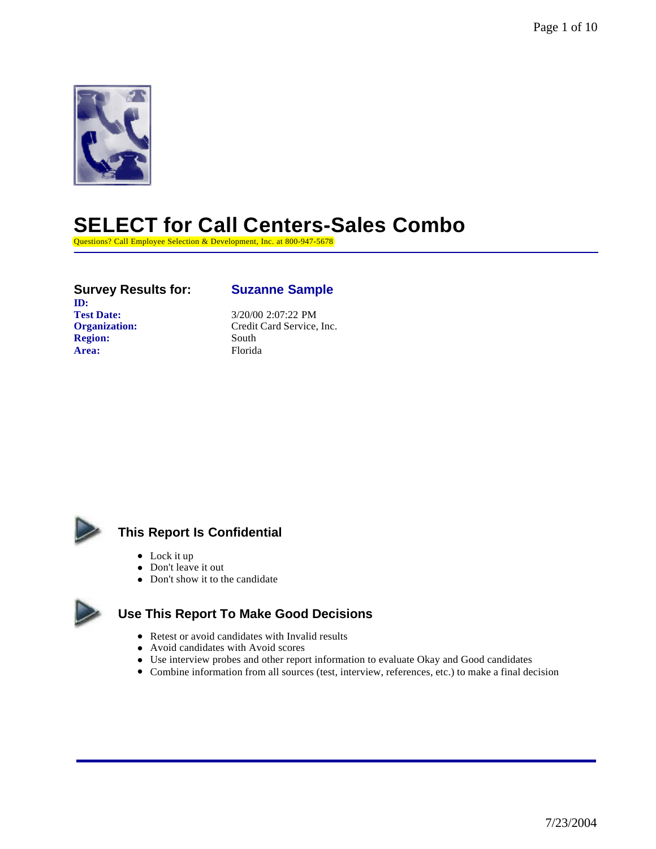

# **SELECT for Call Centers-Sales Combo**

Questions? Call Employee Selection & Development, Inc. at 800-947-5678

# **Survey Results for: Suzanne Sample**

**ID:**<br>Test Date: **Region:** South Area: Florida

Test Date:  $\frac{3}{20/00}$  2:07:22 PM<br>Organization: Credit Card Service, **Organization:** Credit Card Service, Inc.



# **This Report Is Confidential**

- $\bullet$  Lock it up
- Don't leave it out
- Don't show it to the candidate



# **Use This Report To Make Good Decisions**

- Retest or avoid candidates with Invalid results
- Avoid candidates with Avoid scores
- Use interview probes and other report information to evaluate Okay and Good candidates
- <sup>l</sup> Combine information from all sources (test, interview, references, etc.) to make a final decision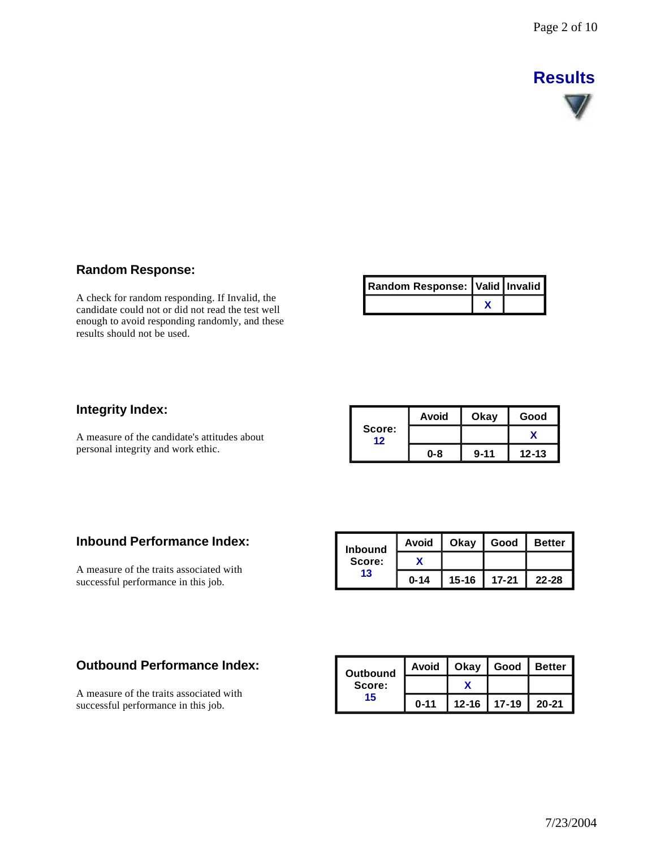# **Results**



# **Random Response:**

A check for random responding. If Invalid, the candidate could not or did not read the test well enough to avoid responding randomly, and these results should not be used.

| Random Response: Valid   Invalid |  |
|----------------------------------|--|
|                                  |  |

### **Integrity Index:**

A measure of the candidate's attitudes about personal integrity and work ethic.

|              | Avoid | Okay     | Good      |
|--------------|-------|----------|-----------|
| Score:<br>12 |       |          |           |
|              | 0-8   | $9 - 11$ | $12 - 13$ |

### **Inbound Performance Index:**

A measure of the traits associated with successful performance in this job.

| <b>Inbound</b> | Avoid    | Okav      | Good      | <b>Better</b> |
|----------------|----------|-----------|-----------|---------------|
| Score:         |          |           |           |               |
| 13             | $0 - 14$ | $15 - 16$ | $17 - 21$ | $22 - 28$     |

### **Outbound Performance Index:**

A measure of the traits associated with successful performance in this job.

| Outbound | Avoid    | Okay              | Good | <b>Better</b> |
|----------|----------|-------------------|------|---------------|
| Score:   |          |                   |      |               |
| 15       | $0 - 11$ | $12 - 16$   17-19 |      | 20-21         |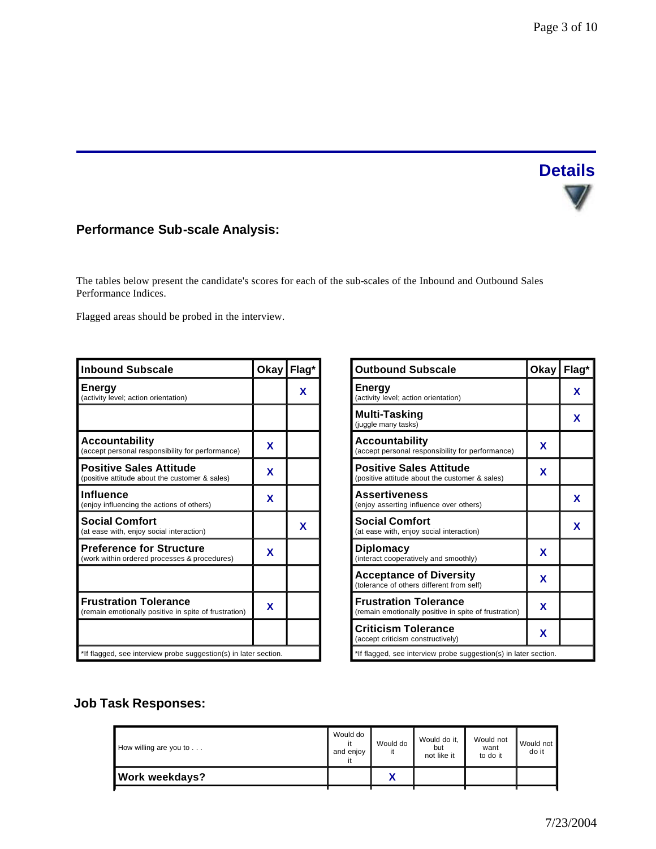# **Details**  $\nabla /$

# **Performance Sub-scale Analysis:**

The tables below present the candidate's scores for each of the sub-scales of the Inbound and Outbound Sales Performance Indices.

Flagged areas should be probed in the interview.

| <b>Inbound Subscale</b>                                                               | Okay Flag* |   |
|---------------------------------------------------------------------------------------|------------|---|
| <b>Energy</b><br>(activity level; action orientation)                                 |            | x |
|                                                                                       |            |   |
| Accountability<br>(accept personal responsibility for performance)                    | x          |   |
| <b>Positive Sales Attitude</b><br>(positive attitude about the customer & sales)      | X          |   |
| Influence<br>(enjoy influencing the actions of others)                                | X          |   |
| <b>Social Comfort</b><br>(at ease with, enjoy social interaction)                     |            | x |
| <b>Preference for Structure</b><br>(work within ordered processes & procedures)       | x          |   |
|                                                                                       |            |   |
| <b>Frustration Tolerance</b><br>(remain emotionally positive in spite of frustration) | x          |   |
|                                                                                       |            |   |
| *If flagged, see interview probe suggestion(s) in later section.                      |            |   |

| <b>Outbound Subscale</b>                                                              | Okay Flag* |   |
|---------------------------------------------------------------------------------------|------------|---|
| <b>Energy</b><br>(activity level; action orientation)                                 |            | X |
| <b>Multi-Tasking</b><br>(juggle many tasks)                                           |            | X |
| <b>Accountability</b><br>(accept personal responsibility for performance)             | X          |   |
| <b>Positive Sales Attitude</b><br>(positive attitude about the customer & sales)      | X          |   |
| <b>Assertiveness</b><br>(enjoy asserting influence over others)                       |            | X |
| <b>Social Comfort</b><br>(at ease with, enjoy social interaction)                     |            | X |
| <b>Diplomacy</b><br>(interact cooperatively and smoothly)                             | X          |   |
| <b>Acceptance of Diversity</b><br>(tolerance of others different from self)           | X          |   |
| <b>Frustration Tolerance</b><br>(remain emotionally positive in spite of frustration) | X          |   |
| <b>Criticism Tolerance</b><br>(accept criticism constructively)                       | X          |   |
| *If flagged, see interview probe suggestion(s) in later section.                      |            |   |

# **Job Task Responses:**

| How willing are you to | Would do<br>it<br>and enjoy<br>it | Would do<br>it             | Would do it.<br>but<br>not like it | Would not<br>want<br>to do it | Would not<br>do it |
|------------------------|-----------------------------------|----------------------------|------------------------------------|-------------------------------|--------------------|
| <b>Work weekdays?</b>  |                                   | $\boldsymbol{\mathcal{L}}$ |                                    |                               |                    |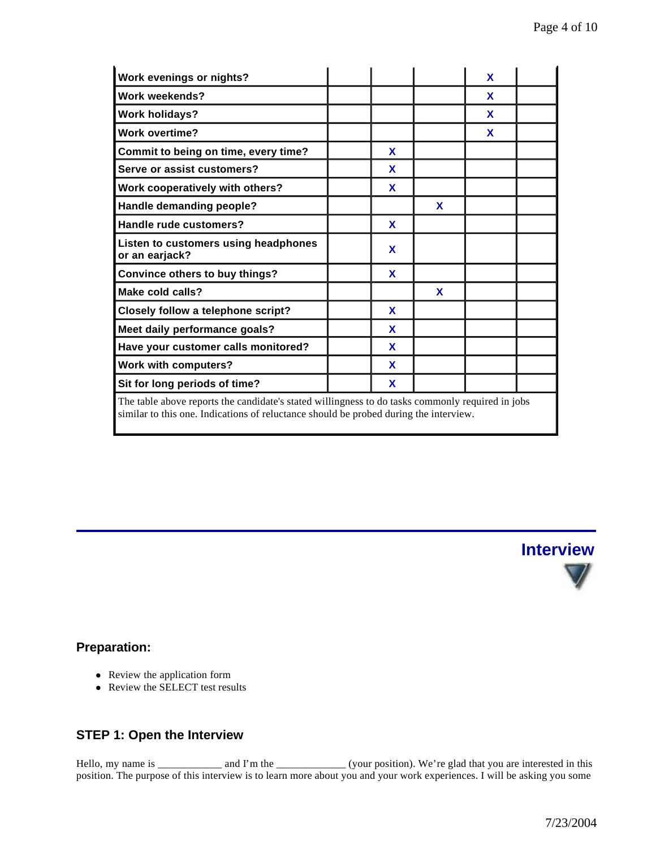| Work evenings or nights?                                                                                                                                                                  |  |   |   | X |  |
|-------------------------------------------------------------------------------------------------------------------------------------------------------------------------------------------|--|---|---|---|--|
| <b>Work weekends?</b>                                                                                                                                                                     |  |   |   | X |  |
| <b>Work holidays?</b>                                                                                                                                                                     |  |   |   | X |  |
| <b>Work overtime?</b>                                                                                                                                                                     |  |   |   | X |  |
| Commit to being on time, every time?                                                                                                                                                      |  | X |   |   |  |
| Serve or assist customers?                                                                                                                                                                |  | X |   |   |  |
| Work cooperatively with others?                                                                                                                                                           |  | X |   |   |  |
| Handle demanding people?                                                                                                                                                                  |  |   | X |   |  |
| Handle rude customers?                                                                                                                                                                    |  | X |   |   |  |
| Listen to customers using headphones<br>or an earjack?                                                                                                                                    |  | X |   |   |  |
| <b>Convince others to buy things?</b>                                                                                                                                                     |  | X |   |   |  |
| Make cold calls?                                                                                                                                                                          |  |   | X |   |  |
| Closely follow a telephone script?                                                                                                                                                        |  | X |   |   |  |
| Meet daily performance goals?                                                                                                                                                             |  | X |   |   |  |
| Have your customer calls monitored?                                                                                                                                                       |  | X |   |   |  |
| <b>Work with computers?</b>                                                                                                                                                               |  | X |   |   |  |
| Sit for long periods of time?                                                                                                                                                             |  | X |   |   |  |
| The table above reports the candidate's stated willingness to do tasks commonly required in jobs<br>similar to this one. Indications of reluctance should be probed during the interview. |  |   |   |   |  |



### **Preparation:**

- Review the application form
- Review the SELECT test results

# **STEP 1: Open the Interview**

Hello, my name is  $\frac{1}{\sqrt{1-\frac{1}{n}}}$  and I'm the  $\frac{1}{\sqrt{1-\frac{1}{n}}}$  (your position). We're glad that you are interested in this position. The purpose of this interview is to learn more about you and your work experiences. I will be asking you some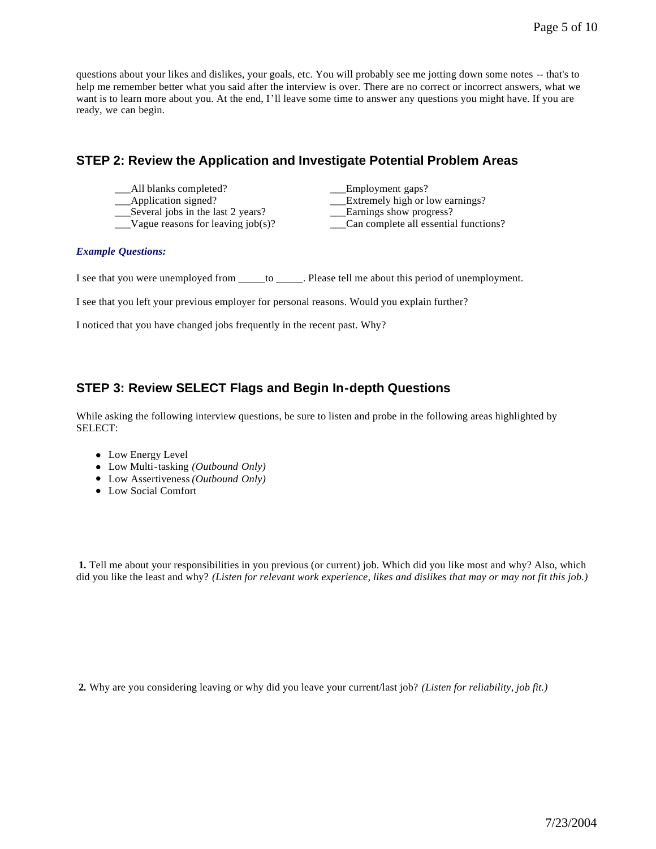questions about your likes and dislikes, your goals, etc. You will probably see me jotting down some notes -- that's to help me remember better what you said after the interview is over. There are no correct or incorrect answers, what we want is to learn more about you. At the end, I'll leave some time to answer any questions you might have. If you are ready, we can begin.

### **STEP 2: Review the Application and Investigate Potential Problem Areas**

- \_\_\_All blanks completed? \_\_\_Employment gaps?
- 
- \_\_\_Several jobs in the last 2 years? \_\_\_Earnings show progress?
- 

Application signed?<br>
Several jobs in the last 2 years?<br>
Larnings show progress?

\_\_\_Vague reasons for leaving job(s)? \_\_\_Can complete all essential functions?

#### *Example Questions:*

I see that you were unemployed from \_\_\_\_\_to \_\_\_\_\_. Please tell me about this period of unemployment.

I see that you left your previous employer for personal reasons. Would you explain further?

I noticed that you have changed jobs frequently in the recent past. Why?

### **STEP 3: Review SELECT Flags and Begin In-depth Questions**

While asking the following interview questions, be sure to listen and probe in the following areas highlighted by SELECT:

- Low Energy Level
- Low Multi-tasking *(Outbound Only)*
- Low Assertiveness *(Outbound Only)*
- Low Social Comfort

**1.** Tell me about your responsibilities in you previous (or current) job. Which did you like most and why? Also, which did you like the least and why? *(Listen for relevant work experience, likes and dislikes that may or may not fit this job.)*

**2.** Why are you considering leaving or why did you leave your current/last job? *(Listen for reliability, job fit.)*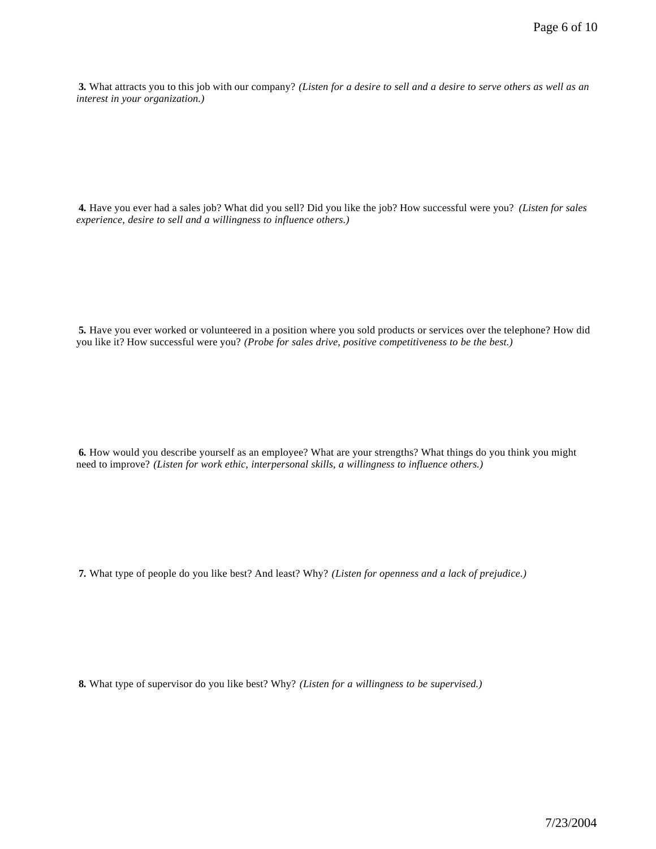**3.** What attracts you to this job with our company? *(Listen for a desire to sell and a desire to serve others as well as an interest in your organization.)* 

**4.** Have you ever had a sales job? What did you sell? Did you like the job? How successful were you? *(Listen for sales experience, desire to sell and a willingness to influence others.)*

**5.** Have you ever worked or volunteered in a position where you sold products or services over the telephone? How did you like it? How successful were you? *(Probe for sales drive, positive competitiveness to be the best.)* 

**6.** How would you describe yourself as an employee? What are your strengths? What things do you think you might need to improve? *(Listen for work ethic, interpersonal skills, a willingness to influence others.)* 

**7.** What type of people do you like best? And least? Why? *(Listen for openness and a lack of prejudice.)* 

**8.** What type of supervisor do you like best? Why? *(Listen for a willingness to be supervised.)*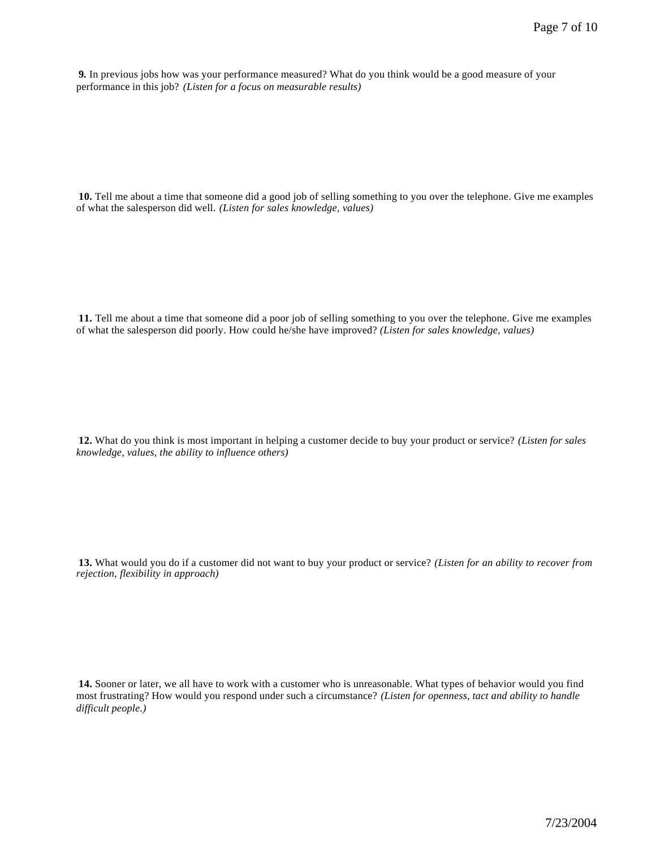**9.** In previous jobs how was your performance measured? What do you think would be a good measure of your performance in this job? *(Listen for a focus on measurable results)* 

**10.** Tell me about a time that someone did a good job of selling something to you over the telephone. Give me examples of what the salesperson did well. *(Listen for sales knowledge, values)*

**11.** Tell me about a time that someone did a poor job of selling something to you over the telephone. Give me examples of what the salesperson did poorly. How could he/she have improved? *(Listen for sales knowledge, values)*

**12.** What do you think is most important in helping a customer decide to buy your product or service? *(Listen for sales knowledge, values, the ability to influence others)*

**13.** What would you do if a customer did not want to buy your product or service? *(Listen for an ability to recover from rejection, flexibility in approach)* 

**14.** Sooner or later, we all have to work with a customer who is unreasonable. What types of behavior would you find most frustrating? How would you respond under such a circumstance? *(Listen for openness, tact and ability to handle difficult people.)*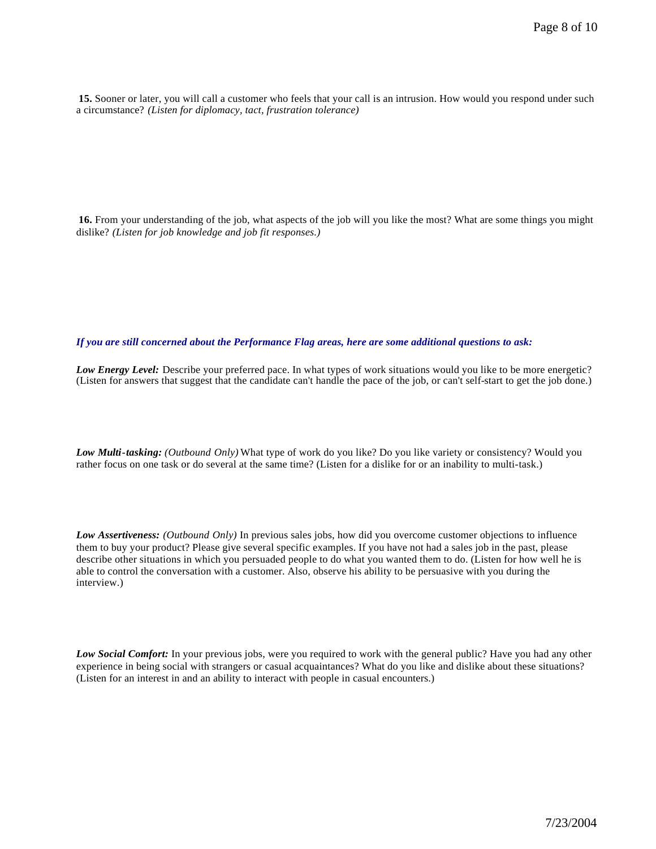**15.** Sooner or later, you will call a customer who feels that your call is an intrusion. How would you respond under such a circumstance? *(Listen for diplomacy, tact, frustration tolerance)*

**16.** From your understanding of the job, what aspects of the job will you like the most? What are some things you might dislike? *(Listen for job knowledge and job fit responses.)*

*If you are still concerned about the Performance Flag areas, here are some additional questions to ask:*

*Low Energy Level:* Describe your preferred pace. In what types of work situations would you like to be more energetic? (Listen for answers that suggest that the candidate can't handle the pace of the job, or can't self-start to get the job done.)

*Low Multi-tasking: (Outbound Only)* What type of work do you like? Do you like variety or consistency? Would you rather focus on one task or do several at the same time? (Listen for a dislike for or an inability to multi-task.)

*Low Assertiveness: (Outbound Only)* In previous sales jobs, how did you overcome customer objections to influence them to buy your product? Please give several specific examples. If you have not had a sales job in the past, please describe other situations in which you persuaded people to do what you wanted them to do. (Listen for how well he is able to control the conversation with a customer. Also, observe his ability to be persuasive with you during the interview.)

*Low Social Comfort:* In your previous jobs, were you required to work with the general public? Have you had any other experience in being social with strangers or casual acquaintances? What do you like and dislike about these situations? (Listen for an interest in and an ability to interact with people in casual encounters.)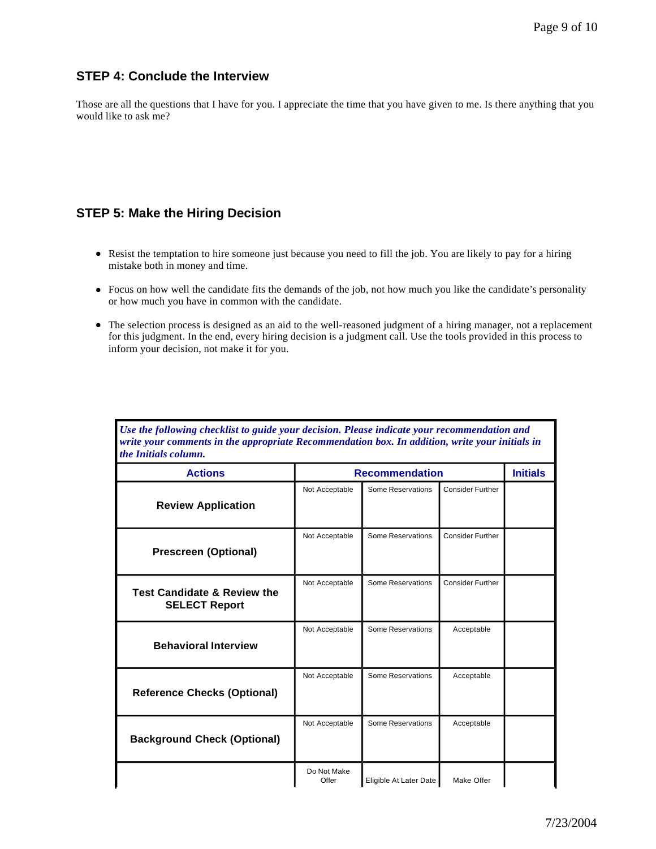### **STEP 4: Conclude the Interview**

Those are all the questions that I have for you. I appreciate the time that you have given to me. Is there anything that you would like to ask me?

#### **STEP 5: Make the Hiring Decision**

- Resist the temptation to hire someone just because you need to fill the job. You are likely to pay for a hiring mistake both in money and time.
- <sup>l</sup> Focus on how well the candidate fits the demands of the job, not how much you like the candidate's personality or how much you have in common with the candidate.
- <sup>l</sup> The selection process is designed as an aid to the well-reasoned judgment of a hiring manager, not a replacement for this judgment. In the end, every hiring decision is a judgment call. Use the tools provided in this process to inform your decision, not make it for you.

*Use the following checklist to guide your decision. Please indicate your recommendation and* 

| write your comments in the appropriate Recommendation box. In addition, write your initials in<br>the Initials column. |                       |                          |                         |  |  |  |
|------------------------------------------------------------------------------------------------------------------------|-----------------------|--------------------------|-------------------------|--|--|--|
| <b>Actions</b>                                                                                                         | <b>Recommendation</b> |                          |                         |  |  |  |
| <b>Review Application</b>                                                                                              | Not Acceptable        | <b>Some Reservations</b> | <b>Consider Further</b> |  |  |  |
| <b>Prescreen (Optional)</b>                                                                                            | Not Acceptable        | <b>Some Reservations</b> | <b>Consider Further</b> |  |  |  |
| <b>Test Candidate &amp; Review the</b><br><b>SELECT Report</b>                                                         | Not Acceptable        | <b>Some Reservations</b> | <b>Consider Further</b> |  |  |  |
| <b>Behavioral Interview</b>                                                                                            | Not Acceptable        | <b>Some Reservations</b> | Acceptable              |  |  |  |
| <b>Reference Checks (Optional)</b>                                                                                     | Not Acceptable        | <b>Some Reservations</b> | Acceptable              |  |  |  |
| <b>Background Check (Optional)</b>                                                                                     | Not Acceptable        | <b>Some Reservations</b> | Acceptable              |  |  |  |
|                                                                                                                        | Do Not Make<br>Offer  | Eligible At Later Date   | Make Offer              |  |  |  |

7/23/2004